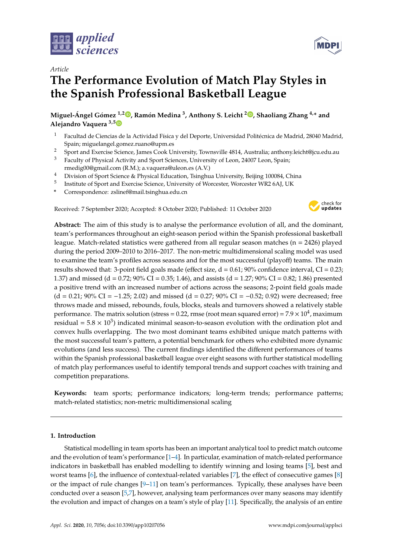

*Article*

# **The Performance Evolution of Match Play Styles in the Spanish Professional Basketball League**

**Miguel-Ángel Gómez 1,[2](https://orcid.org/0000-0002-9585-3158) , Ramón Medina <sup>3</sup> , Anthony S. Leicht <sup>2</sup> [,](https://orcid.org/0000-0002-0537-5392) Shaoliang Zhang 4,\* and Alejandro Vaquera 3,[5](https://orcid.org/0000-0003-1018-7676)**

- <sup>1</sup> Facultad de Ciencias de la Actividad Física y del Deporte, Universidad Politécnica de Madrid, 28040 Madrid, Spain; miguelangel.gomez.ruano@upm.es
- <sup>2</sup> Sport and Exercise Science, James Cook University, Townsville 4814, Australia; anthony.leicht@jcu.edu.au
- <sup>3</sup> Faculty of Physical Activity and Sport Sciences, University of Leon, 24007 Leon, Spain; rmedig00@gmail.com (R.M.); a.vaquera@uleon.es (A.V.)
- <sup>4</sup> Division of Sport Science & Physical Education, Tsinghua University, Beijing 100084, China
- 5 Institute of Sport and Exercise Science, University of Worcester, Worcester WR2 6AJ, UK
- **\*** Correspondence: zslinef@mail.tsinghua.edu.cn

Received: 7 September 2020; Accepted: 8 October 2020; Published: 11 October 2020



**Abstract:** The aim of this study is to analyse the performance evolution of all, and the dominant, team's performances throughout an eight-season period within the Spanish professional basketball league. Match-related statistics were gathered from all regular season matches (n = 2426) played during the period 2009–2010 to 2016–2017. The non-metric multidimensional scaling model was used to examine the team's profiles across seasons and for the most successful (playoff) teams. The main results showed that: 3-point field goals made (effect size,  $d = 0.61$ ; 90% confidence interval, CI = 0.23; 1.37) and missed (d = 0.72; 90% CI = 0.35; 1.46), and assists (d = 1.27; 90% CI = 0.82; 1.86) presented a positive trend with an increased number of actions across the seasons; 2-point field goals made  $(d = 0.21; 90\% CI = -1.25; 2.02)$  and missed  $(d = 0.27; 90\% CI = -0.52; 0.92)$  were decreased; free throws made and missed, rebounds, fouls, blocks, steals and turnovers showed a relatively stable performance. The matrix solution (stress = 0.22, rmse (root mean squared error) =  $7.9 \times 10^4$ , maximum residual =  $5.8 \times 10^3$ ) indicated minimal season-to-season evolution with the ordination plot and convex hulls overlapping. The two most dominant teams exhibited unique match patterns with the most successful team's pattern, a potential benchmark for others who exhibited more dynamic evolutions (and less success). The current findings identified the different performances of teams within the Spanish professional basketball league over eight seasons with further statistical modelling of match play performances useful to identify temporal trends and support coaches with training and competition preparations.

**Keywords:** team sports; performance indicators; long-term trends; performance patterns; match-related statistics; non-metric multidimensional scaling

# **1. Introduction**

Statistical modelling in team sports has been an important analytical tool to predict match outcome and the evolution of team's performance [\[1–](#page-7-0)[4\]](#page-7-1). In particular, examination of match-related performance indicators in basketball has enabled modelling to identify winning and losing teams [\[5\]](#page-7-2), best and worst teams [\[6\]](#page-7-3), the influence of contextual-related variables [\[7\]](#page-7-4), the effect of consecutive games [\[8\]](#page-7-5) or the impact of rule changes  $[9-11]$  $[9-11]$  on team's performances. Typically, these analyses have been conducted over a season [\[5](#page-7-2)[,7\]](#page-7-4), however, analysing team performances over many seasons may identify the evolution and impact of changes on a team's style of play [\[11\]](#page-7-7). Specifically, the analysis of an entire

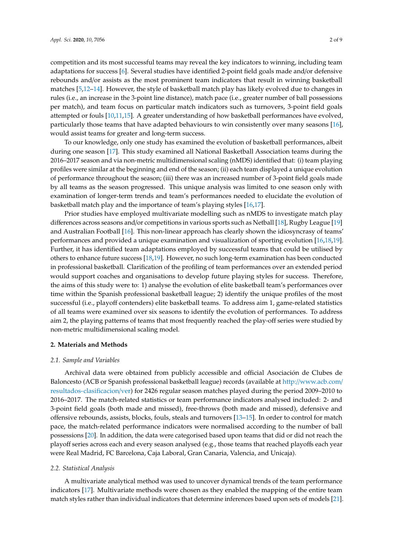competition and its most successful teams may reveal the key indicators to winning, including team adaptations for success [\[6\]](#page-7-3). Several studies have identified 2-point field goals made and/or defensive rebounds and/or assists as the most prominent team indicators that result in winning basketball matches [\[5,](#page-7-2)[12](#page-8-0)[–14\]](#page-8-1). However, the style of basketball match play has likely evolved due to changes in rules (i.e., an increase in the 3-point line distance), match pace (i.e., greater number of ball possessions per match), and team focus on particular match indicators such as turnovers, 3-point field goals attempted or fouls [\[10](#page-7-8)[,11](#page-7-7)[,15\]](#page-8-2). A greater understanding of how basketball performances have evolved, particularly those teams that have adapted behaviours to win consistently over many seasons [\[16\]](#page-8-3), would assist teams for greater and long-term success.

To our knowledge, only one study has examined the evolution of basketball performances, albeit during one season [\[17\]](#page-8-4). This study examined all National Basketball Association teams during the 2016–2017 season and via non-metric multidimensional scaling (nMDS) identified that: (i) team playing profiles were similar at the beginning and end of the season; (ii) each team displayed a unique evolution of performance throughout the season; (iii) there was an increased number of 3-point field goals made by all teams as the season progressed. This unique analysis was limited to one season only with examination of longer-term trends and team's performances needed to elucidate the evolution of basketball match play and the importance of team's playing styles [\[16](#page-8-3)[,17\]](#page-8-4).

Prior studies have employed multivariate modelling such as nMDS to investigate match play differences across seasons and/or competitions in various sports such as Netball [\[18\]](#page-8-5), Rugby League [\[19\]](#page-8-6) and Australian Football [\[16\]](#page-8-3). This non-linear approach has clearly shown the idiosyncrasy of teams' performances and provided a unique examination and visualization of sporting evolution [\[16,](#page-8-3)[18,](#page-8-5)[19\]](#page-8-6). Further, it has identified team adaptations employed by successful teams that could be utilised by others to enhance future success [\[18,](#page-8-5)[19\]](#page-8-6). However, no such long-term examination has been conducted in professional basketball. Clarification of the profiling of team performances over an extended period would support coaches and organisations to develop future playing styles for success. Therefore, the aims of this study were to: 1) analyse the evolution of elite basketball team's performances over time within the Spanish professional basketball league; 2) identify the unique profiles of the most successful (i.e., playoff contenders) elite basketball teams. To address aim 1, game-related statistics of all teams were examined over six seasons to identify the evolution of performances. To address aim 2, the playing patterns of teams that most frequently reached the play-off series were studied by non-metric multidimensional scaling model.

## **2. Materials and Methods**

#### *2.1. Sample and Variables*

Archival data were obtained from publicly accessible and official Asociación de Clubes de Baloncesto (ACB or Spanish professional basketball league) records (available at http://[www.acb.com](http://www.acb.com/resultados-clasificacion/ver)/ [resultados-clasificacion](http://www.acb.com/resultados-clasificacion/ver)/ver) for 2426 regular season matches played during the period 2009–2010 to 2016–2017. The match-related statistics or team performance indicators analysed included: 2- and 3-point field goals (both made and missed), free-throws (both made and missed), defensive and offensive rebounds, assists, blocks, fouls, steals and turnovers [\[13](#page-8-7)[–15\]](#page-8-2). In order to control for match pace, the match-related performance indicators were normalised according to the number of ball possessions [\[20\]](#page-8-8). In addition, the data were categorised based upon teams that did or did not reach the playoff series across each and every season analysed (e.g., those teams that reached playoffs each year were Real Madrid, FC Barcelona, Caja Laboral, Gran Canaria, Valencia, and Unicaja).

#### *2.2. Statistical Analysis*

A multivariate analytical method was used to uncover dynamical trends of the team performance indicators [\[17\]](#page-8-4). Multivariate methods were chosen as they enabled the mapping of the entire team match styles rather than individual indicators that determine inferences based upon sets of models [\[21\]](#page-8-9).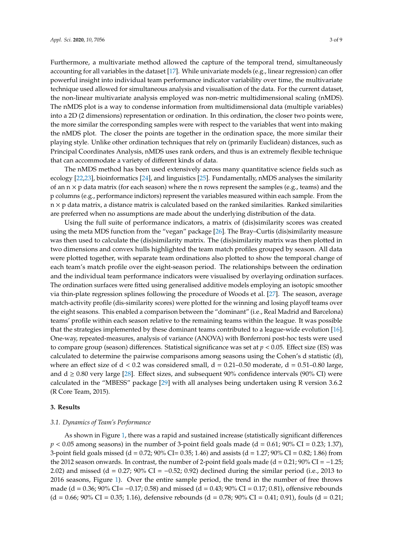Furthermore, a multivariate method allowed the capture of the temporal trend, simultaneously accounting for all variables in the dataset [\[17\]](#page-8-4). While univariate models (e.g., linear regression) can offer powerful insight into individual team performance indicator variability over time, the multivariate technique used allowed for simultaneous analysis and visualisation of the data. For the current dataset, the non-linear multivariate analysis employed was non-metric multidimensional scaling (nMDS). The nMDS plot is a way to condense information from multidimensional data (multiple variables) into a 2D (2 dimensions) representation or ordination. In this ordination, the closer two points were, the more similar the corresponding samples were with respect to the variables that went into making the nMDS plot. The closer the points are together in the ordination space, the more similar their playing style. Unlike other ordination techniques that rely on (primarily Euclidean) distances, such as Principal Coordinates Analysis, nMDS uses rank orders, and thus is an extremely flexible technique that can accommodate a variety of different kinds of data.

The nMDS method has been used extensively across many quantitative science fields such as ecology [\[22](#page-8-10)[,23\]](#page-8-11), bioinformatics [\[24\]](#page-8-12), and linguistics [\[25\]](#page-8-13). Fundamentally, nMDS analyses the similarity of an  $n \times p$  data matrix (for each season) where the n rows represent the samples (e.g., teams) and the p columns (e.g., performance indictors) represent the variables measured within each sample. From the  $n \times p$  data matrix, a distance matrix is calculated based on the ranked similarities. Ranked similarities are preferred when no assumptions are made about the underlying distribution of the data.

Using the full suite of performance indicators, a matrix of (dis)similarity scores was created using the meta MDS function from the "vegan" package [\[26\]](#page-8-14). The Bray–Curtis (dis)similarity measure was then used to calculate the (dis)similarity matrix. The (dis)similarity matrix was then plotted in two dimensions and convex hulls highlighted the team match profiles grouped by season. All data were plotted together, with separate team ordinations also plotted to show the temporal change of each team's match profile over the eight-season period. The relationships between the ordination and the individual team performance indicators were visualised by overlaying ordination surfaces. The ordination surfaces were fitted using generalised additive models employing an isotopic smoother via thin-plate regression splines following the procedure of Woods et al. [\[27\]](#page-8-15). The season, average match-activity profile (dis-similarity scores) were plotted for the winning and losing playoff teams over the eight seasons. This enabled a comparison between the "dominant" (i.e., Real Madrid and Barcelona) teams' profile within each season relative to the remaining teams within the league. It was possible that the strategies implemented by these dominant teams contributed to a league-wide evolution [\[16\]](#page-8-3). One-way, repeated-measures, analysis of variance (ANOVA) with Bonferroni post-hoc tests were used to compare group (season) differences. Statistical significance was set at  $p < 0.05$ . Effect size (ES) was calculated to determine the pairwise comparisons among seasons using the Cohen's d statistic (d), where an effect size of  $d < 0.2$  was considered small,  $d = 0.21-0.50$  moderate,  $d = 0.51-0.80$  large, and  $d \geq 0.80$  very large [\[28\]](#page-8-16). Effect sizes, and subsequent 90% confidence intervals (90% CI) were calculated in the "MBESS" package [\[29\]](#page-8-17) with all analyses being undertaken using R version 3.6.2 (R Core Team, 2015).

#### **3. Results**

#### *3.1. Dynamics of Team's Performance*

As shown in Figure [1,](#page-3-0) there was a rapid and sustained increase (statistically significant differences  $p < 0.05$  among seasons) in the number of 3-point field goals made (d = 0.61; 90% CI = 0.23; 1.37), 3-point field goals missed (d =  $0.72$ ;  $90\%$  CI=  $0.35$ ; 1.46) and assists (d =  $1.27$ ;  $90\%$  CI =  $0.82$ ; 1.86) from the 2012 season onwards. In contrast, the number of 2-point field goals made (d =  $0.21$ ; 90% CI =  $-1.25$ ; 2.02) and missed (d = 0.27; 90% CI =  $-0.52$ ; 0.92) declined during the similar period (i.e., 2013 to 2016 seasons, Figure [1\)](#page-3-0). Over the entire sample period, the trend in the number of free throws made (d = 0.36; 90% CI=  $-0.17$ ; 0.58) and missed (d = 0.43; 90% CI = 0.17; 0.81), offensive rebounds  $(d = 0.66; 90\% CI = 0.35; 1.16)$ , defensive rebounds  $(d = 0.78; 90\% CI = 0.41; 0.91)$ , fouls  $(d = 0.21;$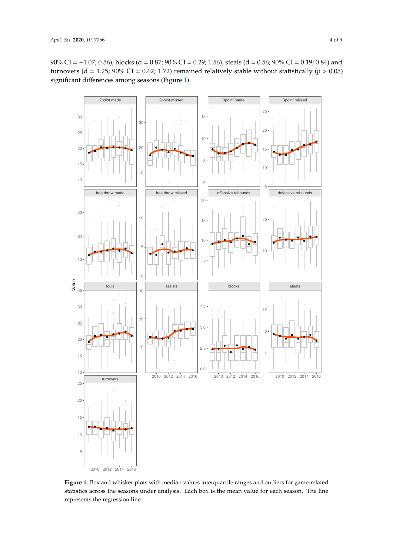90% CI = −1.07; 0.56), blocks (d = 0.87; 90% CI = 0.29; 1.56), steals (d = 0.56; 90% CI = 0.19; 0.84) and turnovers (d = 1.25; 90% CI = 0.62; 1.72) remained relatively stable without statistically ( $p > 0.05$ ) significant differences among seasons (Figure [1\)](#page-3-0).

<span id="page-3-0"></span>

**Figure 1.** Box and whisker plots with median values interquartile ranges and outliers for game-related **Figure 1.** Box and whisker plots with median values interquartile ranges and outliers for game-related statistics across the seasons under analysis. Each box is the mean value for each season. The line statistics across the seasons under analysis. Each box is the mean value for each season. The line represents the regression line. represents the regression line.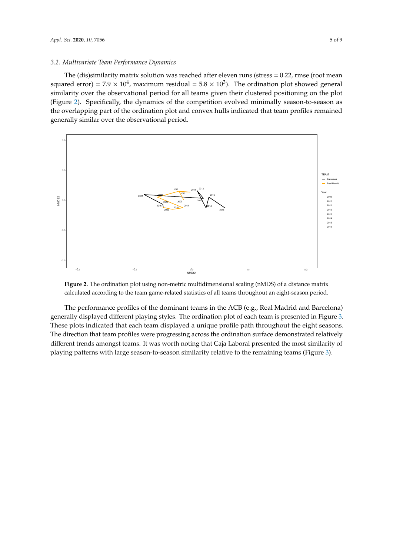#### *3.2. Multivariate Team Performance Dynamics*

The (dis)similarity matrix solution was reached after eleven runs (stress = 0.22, rmse (root mean squared error) =  $7.9 \times 10^4$ , maximum residual =  $5.8 \times 10^3$ ). The ordination plot showed general similarity over the observational period for all teams given their clustered positioning on the plot (Figure [2\)](#page-4-0). Specifically, the dynamics of the competition evolved minimally season-to-season as the overlapping part of the ordination plot and convex hulls indicated that team profiles remained generally similar over the observational period. similarity, the ayriannes of the competition evolved minimary season t

<span id="page-4-0"></span>

**Figure 2.** The ordination plot using non-metric multidimensional scaling (nMDS) of a distance matrix **Figure 2.** The ordination plot using non-metric multidimensional scaling (nMDS) of a distance matrix calculated according to the team game-related statistics of all teams throughout an eight-season calculated according to the team game-related statistics of all teams throughout an eight-season period.

 $T_{\rm{max}}$  of the performance profiles of the dominant teams in the  $\ell$  (e.g.,  $R_{\rm{max}}$  and  $B_{\rm{max}}$ generally displayed different playing styles. The ordination plot of each team is presented in Figure generally displayed different playing styles. The ordination plot of each team is presented in Figure [3.](#page-5-0) 3. These plots indicated that each team displayed a unique profile path throughout the eight seasons. These plots indicated that each team displayed a unique profile path throughout the eight seasons. The direction that team profiles were progressing across the ordination surface demonstrated The direction that team profiles were progressing across the ordination surface demonstrated relatively different trends amongst teams. It was worth noting that Caja Laboral presented the most similarity of similarity of playing patterns with large season-to-season-to-season-to-season-to-season-to-season-to-season-to-(Figure 3). playing patterns with large season-to-season similarity relative to the remaining teams (Figure [3\)](#page-5-0).The performance profiles of the dominant teams in the ACB (e.g., Real Madrid and Barcelona)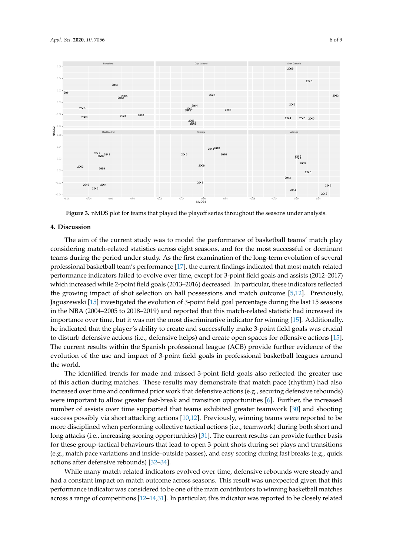

<span id="page-5-0"></span>

**Figure 3.** nMDS plot for teams that played the playoff series throughout the seasons under analysis. **Figure 3.** nMDS plot for teams that played the playoff series throughout the seasons under analysis.

# **4. Discussion 4. Discussion**

The aim of the current study was to model the performance of basketball teams' match play The aim of the current study was to model the performance of basketball teams' match play considering match-related statistics across eight seasons, and for the most successful or dominant considering match-related statistics across eight seasons, and for the most successful or dominant teams during the period under study. As the first examination of the long-term evolution of several teams during the period under study. As the first examination of the long-term evolution of several professional basetball team  $\frac{17}{17}$ , the current finding indicated that most match-professional basketball team's performance [\[17\]](#page-8-4), the current findings indicated that most match-related  $\,$ performance indicators failed to evolve over time, except for 3-point field goals and assists (2012–2017) which increased while 2-point field goals (2013–2016) decreased. In particular, these indicators reflected the growing impact of shot selection on ball possessions and match outcome [\[5,](#page-7-2)[12\]](#page-8-0). Previously, Jaguszewski [\[15\]](#page-8-2) investigated the evolution of 3-point field goal percentage during the last 15 seasons  $h_{\text{max}}$  is importance over the most discrimination over the most discriminative indicator for winning  $\frac{1}{2}$ in the NBA (2004–2005 to 2018–2019) and reported that this match-related statistic had increased its importance over time, but it was not the most discriminative indicator for winning [\[15\]](#page-8-2). Additionally, he indicated that the player's ability to create and successfully make 3-point field goals was crucial to disturb defensive actions (i.e., defensive helps) and create open spaces for offensive actions [\[15\]](#page-8-2). leagues around the world. The current results within the Spanish professional league (ACB) provide further evidence of the 1.1 minutes of the greater use of the spanish professional league (ACB) provide further evidence of the 1.1 minutes of the 1. evolution of the use and impact of 3-point field goals in professional basketball leagues around  $\delta$ increased over time and confirmed prior work that defensive actions (e.g., securing defensive actions (e.g., securing defensive actions (e.g., securing defensive actions (e.g., securing defensive actions (e.g., securi the world.

The identified trends for made and missed 3-point field goals also reflected the greater use of this action during matches. These results may demonstrate that match pace (rhythm) had also shooting success possibly via short attacking actions [10,12]. Previously, winning teams were reported to be more disciplined when performing collective tactical actions (i.e., teamwork) during increased over time and confirmed prior work that defensive actions (e.g., securing defensive rebounds) were important to allow greater fast-break and transition opportunities [\[6\]](#page-7-3). Further, the increased number of assists over time supported that teams exhibited greater teamwork [\[30\]](#page-8-18) and shooting success possibly via short attacking actions [\[10](#page-7-8)[,12\]](#page-8-0). Previously, winning teams were reported to be more disciplined when performing collective tactical actions (i.e., teamwork) during both short and  $\mathbf{L}$  match-related indicators evolved indicators  $\mathbf{L}$  indicated over the steady and steady and steady and steady and steady and steady and steady and steady and steady and steady and steady and steady and steady a long attacks (i.e., increasing scoring opportunities) [\[31\]](#page-8-19). The current results can provide further basis for these group-tactical behaviours that lead to open 3-point shots during set plays and transitions (e.g., match pace variations and inside–outside passes), and easy scoring during fast breaks (e.g., quick actions after defensive rebounds) [\[32](#page-8-20)[–34\]](#page-8-21).

While many match-related indicators evolved over time, defensive rebounds were steady and had a constant impact on match outcome across seasons. This result was unexpected given that this performance indicator was considered to be one of the main contributors to winning basketball matches across a range of competitions [\[12](#page-8-0)[–14](#page-8-1)[,31\]](#page-8-19). In particular, this indicator was reported to be closely related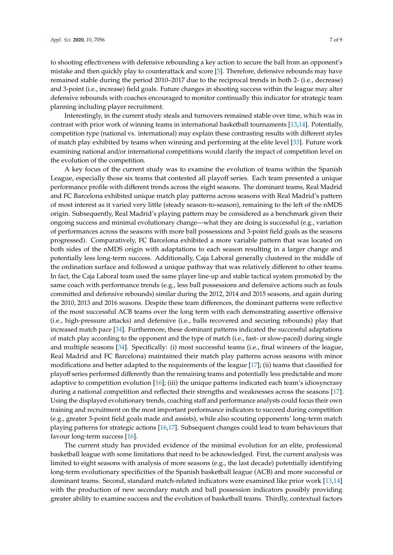to shooting effectiveness with defensive rebounding a key action to secure the ball from an opponent's mistake and then quickly play to counterattack and score [\[5\]](#page-7-2). Therefore, defensive rebounds may have remained stable during the period 2010–2017 due to the reciprocal trends in both 2- (i.e., decrease) and 3-point (i.e., increase) field goals. Future changes in shooting success within the league may alter defensive rebounds with coaches encouraged to monitor continually this indicator for strategic team planning including player recruitment.

Interestingly, in the current study steals and turnovers remained stable over time, which was in contrast with prior work of winning teams in international basketball tournaments [\[13,](#page-8-7)[14\]](#page-8-1). Potentially, competition type (national vs. international) may explain these contrasting results with different styles of match play exhibited by teams when winning and performing at the elite level [\[33\]](#page-8-22). Future work examining national and/or international competitions would clarify the impact of competition level on the evolution of the competition.

A key focus of the current study was to examine the evolution of teams within the Spanish League, especially those six teams that contested all playoff series. Each team presented a unique performance profile with different trends across the eight seasons. The dominant teams, Real Madrid and FC Barcelona exhibited unique match play patterns across seasons with Real Madrid's pattern of most interest as it varied very little (steady season-to-season), remaining to the left of the nMDS origin. Subsequently, Real Madrid's playing pattern may be considered as a benchmark given their ongoing success and minimal evolutionary change—what they are doing is successful (e.g., variation of performances across the seasons with more ball possessions and 3-point field goals as the seasons progressed). Comparatively, FC Barcelona exhibited a more variable pattern that was located on both sides of the nMDS origin with adaptations to each season resulting in a larger change and potentially less long-term success. Additionally, Caja Laboral generally clustered in the middle of the ordination surface and followed a unique pathway that was relatively different to other teams. In fact, the Caja Laboral team used the same player line-up and stable tactical system promoted by the same coach with performance trends (e.g., less ball possessions and defensive actions such as fouls committed and defensive rebounds) similar during the 2012, 2014 and 2015 seasons, and again during the 2010, 2013 and 2016 seasons. Despite these team differences, the dominant patterns were reflective of the most successful ACB teams over the long term with each demonstrating assertive offensive (i.e., high-pressure attacks) and defensive (i.e., balls recovered and securing rebounds) play that increased match pace [\[34\]](#page-8-21). Furthermore, these dominant patterns indicated the successful adaptations of match play according to the opponent and the type of match (i.e., fast- or slow-paced) during single and multiple seasons [\[34\]](#page-8-21). Specifically: (i) most successful teams (i.e., final winners of the league, Real Madrid and FC Barcelona) maintained their match play patterns across seasons with minor modifications and better adapted to the requirements of the league [\[17\]](#page-8-4); (ii) teams that classified for playoff series performed differently than the remaining teams and potentially less predictable and more adaptive to competition evolution [\[16\]](#page-8-3); (iii) the unique patterns indicated each team's idiosyncrasy during a national competition and reflected their strengths and weaknesses across the seasons [\[17\]](#page-8-4). Using the displayed evolutionary trends, coaching staff and performance analysts could focus their own training and recruitment on the most important performance indicators to succeed during competition (e.g., greater 3-point field goals made and assists), while also scouting opponents' long-term match playing patterns for strategic actions [\[16,](#page-8-3)[17\]](#page-8-4). Subsequent changes could lead to team behaviours that favour long-term success [\[16\]](#page-8-3).

The current study has provided evidence of the minimal evolution for an elite, professional basketball league with some limitations that need to be acknowledged. First, the current analysis was limited to eight seasons with analysis of more seasons (e.g., the last decade) potentially identifying long-term evolutionary specificities of the Spanish basketball league (ACB) and more successful or dominant teams. Second, standard match-related indicators were examined like prior work [\[13](#page-8-7)[,14\]](#page-8-1) with the production of new secondary match and ball possession indicators possibly providing greater ability to examine success and the evolution of basketball teams. Thirdly, contextual factors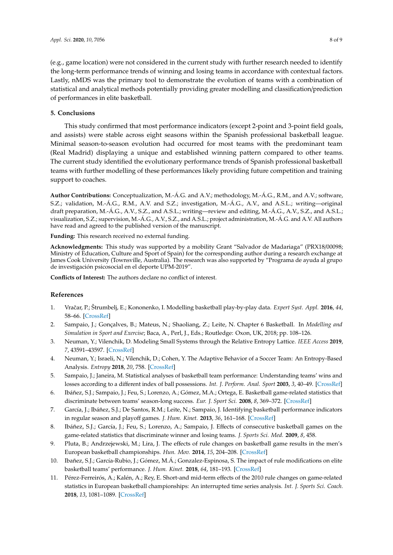(e.g., game location) were not considered in the current study with further research needed to identify the long-term performance trends of winning and losing teams in accordance with contextual factors. Lastly, nMDS was the primary tool to demonstrate the evolution of teams with a combination of statistical and analytical methods potentially providing greater modelling and classification/prediction of performances in elite basketball.

# **5. Conclusions**

This study confirmed that most performance indicators (except 2-point and 3-point field goals, and assists) were stable across eight seasons within the Spanish professional basketball league. Minimal season-to-season evolution had occurred for most teams with the predominant team (Real Madrid) displaying a unique and established winning pattern compared to other teams. The current study identified the evolutionary performance trends of Spanish professional basketball teams with further modelling of these performances likely providing future competition and training support to coaches.

**Author Contributions:** Conceptualization, M.-Á.G. and A.V.; methodology, M.-Á.G., R.M., and A.V.; software, S.Z.; validation, M.-Á.G., R.M., A.V. and S.Z.; investigation, M.-Á.G., A.V., and A.S.L.; writing—original draft preparation, M.-Á.G., A.V., S.Z., and A.S.L.; writing—review and editing, M.-Á.G., A.V., S.Z., and A.S.L.; visualization, S.Z.; supervision, M.-Á.G., A.V., S.Z., and A.S.L.; project administration, M.-Á.G. and A.V. All authors have read and agreed to the published version of the manuscript.

**Funding:** This research received no external funding.

**Acknowledgments:** This study was supported by a mobility Grant "Salvador de Madariaga" (PRX18/00098; Ministry of Education, Culture and Sport of Spain) for the corresponding author during a research exchange at James Cook University (Townsville, Australia). The research was also supported by "Programa de ayuda al grupo de investigación psicosocial en el deporte UPM-2019".

**Conflicts of Interest:** The authors declare no conflict of interest.

# **References**

- <span id="page-7-0"></span>1. Vraˇcar, P.; Štrumbelj, E.; Kononenko, I. Modelling basketball play-by-play data. *Expert Syst. Appl.* **2016**, *44*, 58–66. [\[CrossRef\]](http://dx.doi.org/10.1016/j.eswa.2015.09.004)
- 2. Sampaio, J.; Gonçalves, B.; Mateus, N.; Shaoliang, Z.; Leite, N. Chapter 6 Basketball. In *Modelling and Simulation in Sport and Exercise*; Baca, A., Perl, J., Eds.; Routledge: Oxon, UK, 2018; pp. 108–126.
- 3. Neuman, Y.; Vilenchik, D. Modeling Small Systems through the Relative Entropy Lattice. *IEEE Access* **2019**, *7*, 43591–43597. [\[CrossRef\]](http://dx.doi.org/10.1109/ACCESS.2019.2907067)
- <span id="page-7-1"></span>4. Neuman, Y.; Israeli, N.; Vilenchik, D.; Cohen, Y. The Adaptive Behavior of a Soccer Team: An Entropy-Based Analysis. *Entropy* **2018**, *20*, 758. [\[CrossRef\]](http://dx.doi.org/10.3390/e20100758)
- <span id="page-7-2"></span>5. Sampaio, J.; Janeira, M. Statistical analyses of basketball team performance: Understanding teams' wins and losses according to a different index of ball possessions. *Int. J. Perform. Anal. Sport* **2003**, *3*, 40–49. [\[CrossRef\]](http://dx.doi.org/10.1080/24748668.2003.11868273)
- <span id="page-7-3"></span>6. Ibáñez, S.J.; Sampaio, J.; Feu, S.; Lorenzo, A.; Gómez, M.A.; Ortega, E. Basketball game-related statistics that discriminate between teams' season-long success. *Eur. J. Sport Sci.* **2008**, *8*, 369–372. [\[CrossRef\]](http://dx.doi.org/10.1080/17461390802261470)
- <span id="page-7-4"></span>7. García, J.; Ibáñez, S.J.; De Santos, R.M.; Leite, N.; Sampaio, J. Identifying basketball performance indicators in regular season and playoff games. *J. Hum. Kinet.* **2013**, *36*, 161–168. [\[CrossRef\]](http://dx.doi.org/10.2478/hukin-2013-0016)
- <span id="page-7-5"></span>8. Ibáñez, S.J.; García, J.; Feu, S.; Lorenzo, A.; Sampaio, J. Effects of consecutive basketball games on the game-related statistics that discriminate winner and losing teams. *J. Sports Sci. Med.* **2009**, *8*, 458.
- <span id="page-7-6"></span>9. Pluta, B.; Andrzejewski, M.; Lira, J. The effects of rule changes on basketball game results in the men's European basketball championships. *Hun. Mov.* **2014**, *15*, 204–208. [\[CrossRef\]](http://dx.doi.org/10.1515/humo-2015-0012)
- <span id="page-7-8"></span>10. Ibañez, S.J.; García-Rubio, J.; Gómez, M.Á.; Gonzalez-Espinosa, S. The impact of rule modifications on elite basketball teams' performance. *J. Hum. Kinet.* **2018**, *64*, 181–193. [\[CrossRef\]](http://dx.doi.org/10.1515/hukin-2017-0193)
- <span id="page-7-7"></span>11. Pérez-Ferreirós, A.; Kalén, A.; Rey, E. Short-and mid-term effects of the 2010 rule changes on game-related statistics in European basketball championships: An interrupted time series analysis. *Int. J. Sports Sci. Coach.* **2018**, *13*, 1081–1089. [\[CrossRef\]](http://dx.doi.org/10.1177/1747954118765738)